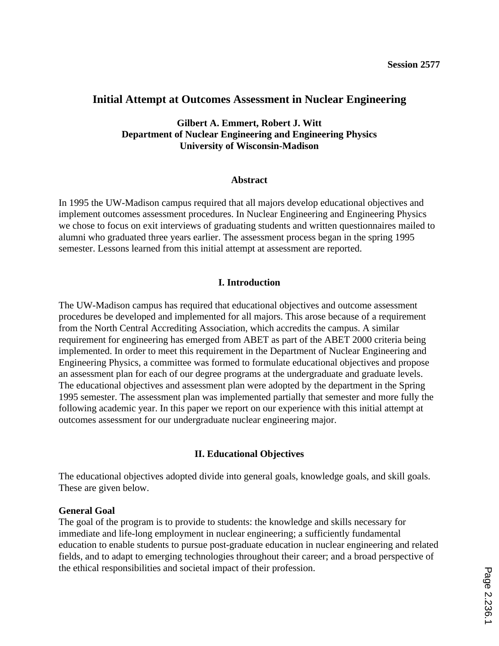# **Initial Attempt at Outcomes Assessment in Nuclear Engineering**

**Gilbert A. Emmert, Robert J. Witt Department of Nuclear Engineering and Engineering Physics University of Wisconsin-Madison**

#### **Abstract**

In 1995 the UW-Madison campus required that all majors develop educational objectives and implement outcomes assessment procedures. In Nuclear Engineering and Engineering Physics we chose to focus on exit interviews of graduating students and written questionnaires mailed to alumni who graduated three years earlier. The assessment process began in the spring 1995 semester. Lessons learned from this initial attempt at assessment are reported.

## **I. Introduction**

The UW-Madison campus has required that educational objectives and outcome assessment procedures be developed and implemented for all majors. This arose because of a requirement from the North Central Accrediting Association, which accredits the campus. A similar requirement for engineering has emerged from ABET as part of the ABET 2000 criteria being implemented. In order to meet this requirement in the Department of Nuclear Engineering and Engineering Physics, a committee was formed to formulate educational objectives and propose an assessment plan for each of our degree programs at the undergraduate and graduate levels. The educational objectives and assessment plan were adopted by the department in the Spring 1995 semester. The assessment plan was implemented partially that semester and more fully the following academic year. In this paper we report on our experience with this initial attempt at outcomes assessment for our undergraduate nuclear engineering major.

## **II. Educational Objectives**

The educational objectives adopted divide into general goals, knowledge goals, and skill goals. These are given below.

## **General Goal**

The goal of the program is to provide to students: the knowledge and skills necessary for immediate and life-long employment in nuclear engineering; a sufficiently fundamental education to enable students to pursue post-graduate education in nuclear engineering and related fields, and to adapt to emerging technologies throughout their career; and a broad perspective of the ethical responsibilities and societal impact of their profession.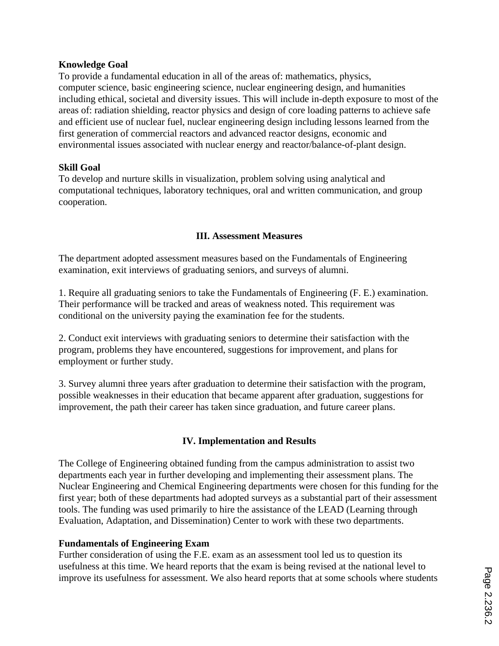## **Knowledge Goal**

To provide a fundamental education in all of the areas of: mathematics, physics, computer science, basic engineering science, nuclear engineering design, and humanities including ethical, societal and diversity issues. This will include in-depth exposure to most of the areas of: radiation shielding, reactor physics and design of core loading patterns to achieve safe and efficient use of nuclear fuel, nuclear engineering design including lessons learned from the first generation of commercial reactors and advanced reactor designs, economic and environmental issues associated with nuclear energy and reactor/balance-of-plant design.

# **Skill Goal**

To develop and nurture skills in visualization, problem solving using analytical and computational techniques, laboratory techniques, oral and written communication, and group cooperation.

# **III. Assessment Measures**

The department adopted assessment measures based on the Fundamentals of Engineering examination, exit interviews of graduating seniors, and surveys of alumni.

1. Require all graduating seniors to take the Fundamentals of Engineering (F. E.) examination. Their performance will be tracked and areas of weakness noted. This requirement was conditional on the university paying the examination fee for the students.

2. Conduct exit interviews with graduating seniors to determine their satisfaction with the program, problems they have encountered, suggestions for improvement, and plans for employment or further study.

3. Survey alumni three years after graduation to determine their satisfaction with the program, possible weaknesses in their education that became apparent after graduation, suggestions for improvement, the path their career has taken since graduation, and future career plans.

# **IV. Implementation and Results**

The College of Engineering obtained funding from the campus administration to assist two departments each year in further developing and implementing their assessment plans. The Nuclear Engineering and Chemical Engineering departments were chosen for this funding for the first year; both of these departments had adopted surveys as a substantial part of their assessment tools. The funding was used primarily to hire the assistance of the LEAD (Learning through Evaluation, Adaptation, and Dissemination) Center to work with these two departments.

## **Fundamentals of Engineering Exam**

Further consideration of using the F.E. exam as an assessment tool led us to question its usefulness at this time. We heard reports that the exam is being revised at the national level to improve its usefulness for assessment. We also heard reports that at some schools where students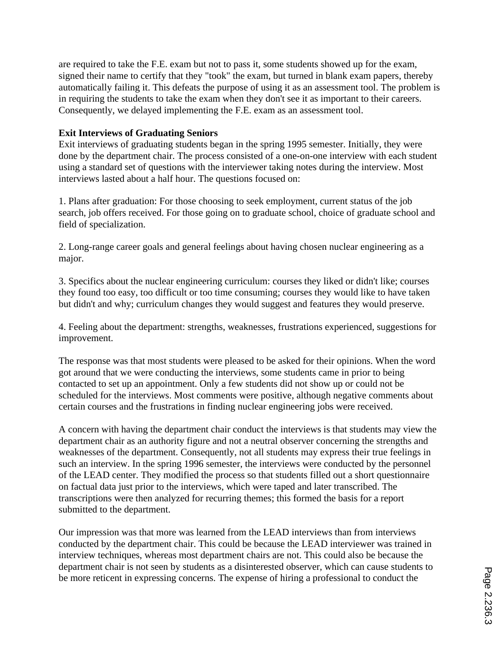are required to take the F.E. exam but not to pass it, some students showed up for the exam, signed their name to certify that they "took" the exam, but turned in blank exam papers, thereby automatically failing it. This defeats the purpose of using it as an assessment tool. The problem is in requiring the students to take the exam when they don't see it as important to their careers. Consequently, we delayed implementing the F.E. exam as an assessment tool.

## **Exit Interviews of Graduating Seniors**

Exit interviews of graduating students began in the spring 1995 semester. Initially, they were done by the department chair. The process consisted of a one-on-one interview with each student using a standard set of questions with the interviewer taking notes during the interview. Most interviews lasted about a half hour. The questions focused on:

1. Plans after graduation: For those choosing to seek employment, current status of the job search, job offers received. For those going on to graduate school, choice of graduate school and field of specialization.

2. Long-range career goals and general feelings about having chosen nuclear engineering as a major.

3. Specifics about the nuclear engineering curriculum: courses they liked or didn't like; courses they found too easy, too difficult or too time consuming; courses they would like to have taken but didn't and why; curriculum changes they would suggest and features they would preserve.

4. Feeling about the department: strengths, weaknesses, frustrations experienced, suggestions for improvement.

The response was that most students were pleased to be asked for their opinions. When the word got around that we were conducting the interviews, some students came in prior to being contacted to set up an appointment. Only a few students did not show up or could not be scheduled for the interviews. Most comments were positive, although negative comments about certain courses and the frustrations in finding nuclear engineering jobs were received.

A concern with having the department chair conduct the interviews is that students may view the department chair as an authority figure and not a neutral observer concerning the strengths and weaknesses of the department. Consequently, not all students may express their true feelings in such an interview. In the spring 1996 semester, the interviews were conducted by the personnel of the LEAD center. They modified the process so that students filled out a short questionnaire on factual data just prior to the interviews, which were taped and later transcribed. The transcriptions were then analyzed for recurring themes; this formed the basis for a report submitted to the department.

Our impression was that more was learned from the LEAD interviews than from interviews conducted by the department chair. This could be because the LEAD interviewer was trained in interview techniques, whereas most department chairs are not. This could also be because the department chair is not seen by students as a disinterested observer, which can cause students to be more reticent in expressing concerns. The expense of hiring a professional to conduct the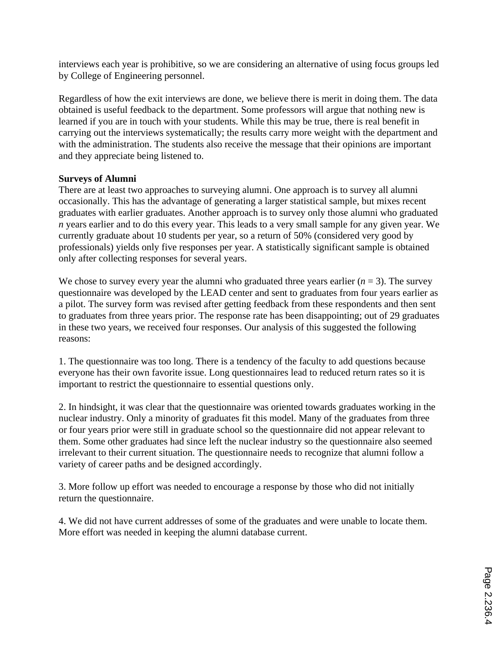interviews each year is prohibitive, so we are considering an alternative of using focus groups led by College of Engineering personnel.

Regardless of how the exit interviews are done, we believe there is merit in doing them. The data obtained is useful feedback to the department. Some professors will argue that nothing new is learned if you are in touch with your students. While this may be true, there is real benefit in carrying out the interviews systematically; the results carry more weight with the department and with the administration. The students also receive the message that their opinions are important and they appreciate being listened to.

## **Surveys of Alumni**

There are at least two approaches to surveying alumni. One approach is to survey all alumni occasionally. This has the advantage of generating a larger statistical sample, but mixes recent graduates with earlier graduates. Another approach is to survey only those alumni who graduated *n* years earlier and to do this every year. This leads to a very small sample for any given year. We currently graduate about 10 students per year, so a return of 50% (considered very good by professionals) yields only five responses per year. A statistically significant sample is obtained only after collecting responses for several years.

We chose to survey every year the alumni who graduated three years earlier  $(n = 3)$ . The survey questionnaire was developed by the LEAD center and sent to graduates from four years earlier as a pilot. The survey form was revised after getting feedback from these respondents and then sent to graduates from three years prior. The response rate has been disappointing; out of 29 graduates in these two years, we received four responses. Our analysis of this suggested the following reasons:

1. The questionnaire was too long. There is a tendency of the faculty to add questions because everyone has their own favorite issue. Long questionnaires lead to reduced return rates so it is important to restrict the questionnaire to essential questions only.

2. In hindsight, it was clear that the questionnaire was oriented towards graduates working in the nuclear industry. Only a minority of graduates fit this model. Many of the graduates from three or four years prior were still in graduate school so the questionnaire did not appear relevant to them. Some other graduates had since left the nuclear industry so the questionnaire also seemed irrelevant to their current situation. The questionnaire needs to recognize that alumni follow a variety of career paths and be designed accordingly.

3. More follow up effort was needed to encourage a response by those who did not initially return the questionnaire.

4. We did not have current addresses of some of the graduates and were unable to locate them. More effort was needed in keeping the alumni database current.